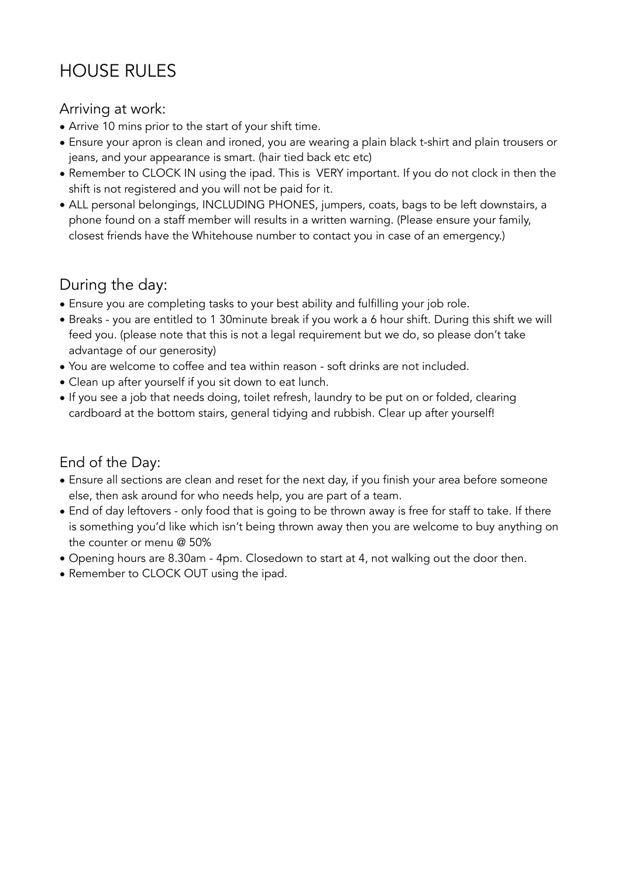# HOUSE RULES

### Arriving at work:

- Arrive 10 mins prior to the start of your shift time.
- Ensure your apron is clean and ironed, you are wearing a plain black t-shirt and plain trousers or jeans, and your appearance is smart. (hair tied back etc etc)
- Remember to CLOCK IN using the ipad. This is VERY important. If you do not clock in then the shift is not registered and you will not be paid for it.
- ALL personal belongings, INCLUDING PHONES, jumpers, coats, bags to be left downstairs, a phone found on a staff member will results in a written warning. (Please ensure your family, closest friends have the Whitehouse number to contact you in case of an emergency.)

## During the day:

- Ensure you are completing tasks to your best ability and fulfilling your job role.
- Breaks you are entitled to 1 30minute break if you work a 6 hour shift. During this shift we will feed you. (please note that this is not a legal requirement but we do, so please don't take advantage of our generosity)
- You are welcome to coffee and tea within reason soft drinks are not included.
- Clean up after yourself if you sit down to eat lunch.
- If you see a job that needs doing, toilet refresh, laundry to be put on or folded, clearing cardboard at the bottom stairs, general tidying and rubbish. Clear up after yourself!

### End of the Day:

- Ensure all sections are clean and reset for the next day, if you finish your area before someone else, then ask around for who needs help, you are part of a team.
- End of day leftovers only food that is going to be thrown away is free for staff to take. If there is something you'd like which isn't being thrown away then you are welcome to buy anything on the counter or menu @ 50%
- Opening hours are 8.30am 4pm. Closedown to start at 4, not walking out the door then.
- Remember to CLOCK OUT using the ipad.